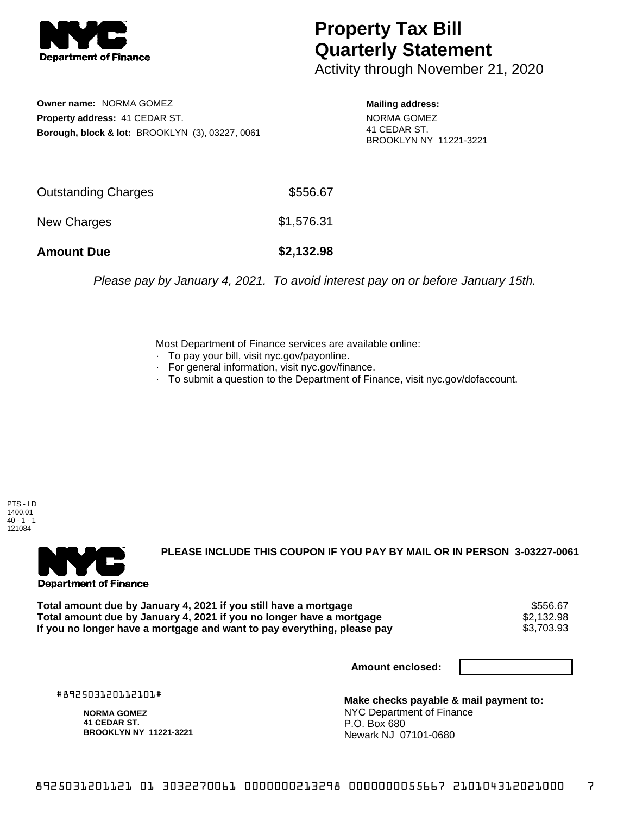

## **Property Tax Bill Quarterly Statement**

Activity through November 21, 2020

**Owner name:** NORMA GOMEZ **Property address:** 41 CEDAR ST. **Borough, block & lot:** BROOKLYN (3), 03227, 0061

**Mailing address:** NORMA GOMEZ 41 CEDAR ST. BROOKLYN NY 11221-3221

| <b>Amount Due</b>   | \$2,132.98 |
|---------------------|------------|
| New Charges         | \$1,576.31 |
| Outstanding Charges | \$556.67   |

Please pay by January 4, 2021. To avoid interest pay on or before January 15th.

Most Department of Finance services are available online:

- · To pay your bill, visit nyc.gov/payonline.
- For general information, visit nyc.gov/finance.
- · To submit a question to the Department of Finance, visit nyc.gov/dofaccount.

PTS - LD 1400.01  $40 - 1 - 1$ 121084



**PLEASE INCLUDE THIS COUPON IF YOU PAY BY MAIL OR IN PERSON 3-03227-0061** 

**Total amount due by January 4, 2021 if you still have a mortgage** \$556.67 **Total amount due by January 4, 2021 if you no longer have a mortgage**  $$2,132.98$ **<br>If you no longer have a mortgage and want to pay everything, please pay <b>show that have use** \$3,703.93 If you no longer have a mortgage and want to pay everything, please pay

**Amount enclosed:**

#892503120112101#

**NORMA GOMEZ 41 CEDAR ST. BROOKLYN NY 11221-3221**

**Make checks payable & mail payment to:** NYC Department of Finance P.O. Box 680 Newark NJ 07101-0680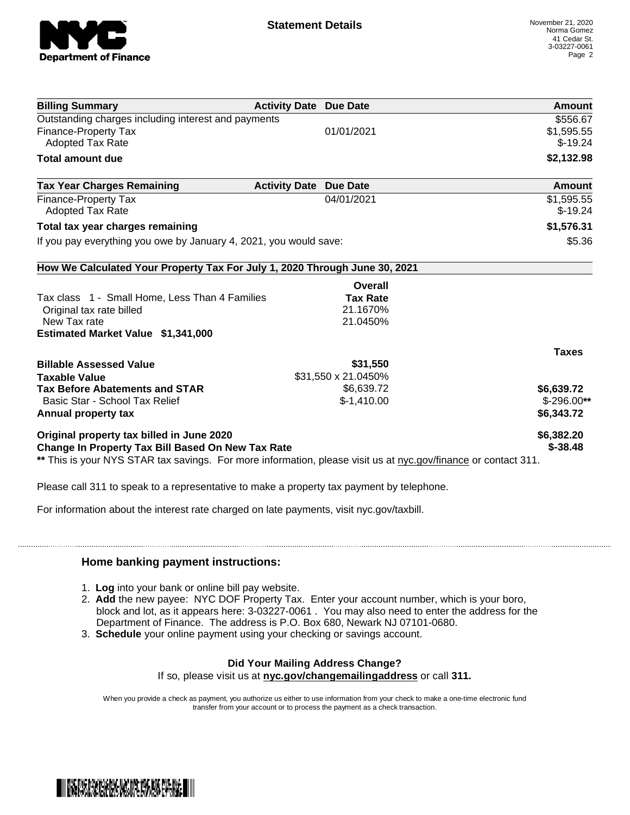

| <b>Billing Summary</b>                                                                                         | <b>Activity Date Due Date</b>           | <b>Amount</b> |
|----------------------------------------------------------------------------------------------------------------|-----------------------------------------|---------------|
| Outstanding charges including interest and payments                                                            |                                         | \$556.67      |
| <b>Finance-Property Tax</b>                                                                                    | 01/01/2021                              | \$1,595.55    |
| <b>Adopted Tax Rate</b>                                                                                        |                                         | $$-19.24$     |
| <b>Total amount due</b>                                                                                        |                                         | \$2,132.98    |
| <b>Tax Year Charges Remaining</b>                                                                              | <b>Activity Date</b><br><b>Due Date</b> | Amount        |
| Finance-Property Tax                                                                                           | 04/01/2021                              | \$1,595.55    |
| <b>Adopted Tax Rate</b>                                                                                        |                                         | $$-19.24$     |
| Total tax year charges remaining                                                                               |                                         | \$1,576.31    |
| If you pay everything you owe by January 4, 2021, you would save:                                              |                                         | \$5.36        |
| How We Calculated Your Property Tax For July 1, 2020 Through June 30, 2021                                     |                                         |               |
|                                                                                                                | Overall                                 |               |
| Tax class 1 - Small Home, Less Than 4 Families                                                                 | <b>Tax Rate</b>                         |               |
| Original tax rate billed                                                                                       | 21.1670%                                |               |
| New Tax rate                                                                                                   | 21.0450%                                |               |
| Estimated Market Value \$1,341,000                                                                             |                                         |               |
|                                                                                                                |                                         | <b>Taxes</b>  |
| <b>Billable Assessed Value</b>                                                                                 | \$31,550                                |               |
| <b>Taxable Value</b>                                                                                           | \$31,550 x 21.0450%                     |               |
| <b>Tax Before Abatements and STAR</b>                                                                          | \$6,639.72                              | \$6,639.72    |
| Basic Star - School Tax Relief                                                                                 | $$-1,410.00$                            | $$-296.00**$  |
| Annual property tax                                                                                            |                                         | \$6,343.72    |
| Original property tax billed in June 2020                                                                      |                                         | \$6,382.20    |
| Change In Property Tax Bill Based On New Tax Rate                                                              |                                         | $$ -38.48$    |
| ** This is your NYS STAR tax savings. For more information, please visit us at nyc.gov/finance or contact 311. |                                         |               |

Please call 311 to speak to a representative to make a property tax payment by telephone.

For information about the interest rate charged on late payments, visit nyc.gov/taxbill.

## **Home banking payment instructions:**

- 1. **Log** into your bank or online bill pay website.
- 2. **Add** the new payee: NYC DOF Property Tax. Enter your account number, which is your boro, block and lot, as it appears here: 3-03227-0061 . You may also need to enter the address for the Department of Finance. The address is P.O. Box 680, Newark NJ 07101-0680.
- 3. **Schedule** your online payment using your checking or savings account.

## **Did Your Mailing Address Change?**

If so, please visit us at **nyc.gov/changemailingaddress** or call **311.**

When you provide a check as payment, you authorize us either to use information from your check to make a one-time electronic fund transfer from your account or to process the payment as a check transaction.